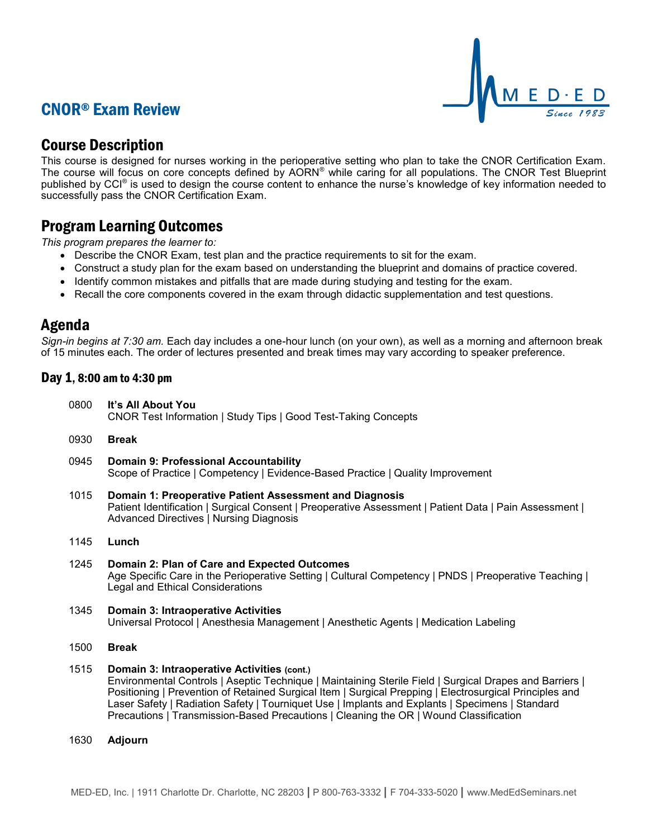## CNOR® Exam Review



## Course Description

This course is designed for nurses working in the perioperative setting who plan to take the CNOR Certification Exam. The course will focus on core concepts defined by AORN® while caring for all populations. The CNOR Test Blueprint published by CCI<sup>®</sup> is used to design the course content to enhance the nurse's knowledge of key information needed to successfully pass the CNOR Certification Exam.

### Program Learning Outcomes

*This program prepares the learner to:*

- Describe the CNOR Exam, test plan and the practice requirements to sit for the exam.
- Construct a study plan for the exam based on understanding the blueprint and domains of practice covered.
- Identify common mistakes and pitfalls that are made during studying and testing for the exam.
- Recall the core components covered in the exam through didactic supplementation and test questions.

### Agenda

*Sign-in begins at 7:30 am.* Each day includes a one-hour lunch (on your own), as well as a morning and afternoon break of 15 minutes each. The order of lectures presented and break times may vary according to speaker preference.

### Day 1, 8:00 am to 4:30 pm

|  | 0800 It's All About You<br>CNOR Test Information   Study Tips   Good Test-Taking Concepts |
|--|-------------------------------------------------------------------------------------------|
|--|-------------------------------------------------------------------------------------------|

- 0930 **Break**
- 0945 **Domain 9: Professional Accountability** Scope of Practice | Competency | Evidence-Based Practice | Quality Improvement
- 1015 **Domain 1: Preoperative Patient Assessment and Diagnosis** Patient Identification | Surgical Consent | Preoperative Assessment | Patient Data | Pain Assessment | Advanced Directives | Nursing Diagnosis
- 1145 **Lunch**
- 1245 **Domain 2: Plan of Care and Expected Outcomes** Age Specific Care in the Perioperative Setting | Cultural Competency | PNDS | Preoperative Teaching | Legal and Ethical Considerations
- 1345 **Domain 3: Intraoperative Activities** Universal Protocol | Anesthesia Management | Anesthetic Agents | Medication Labeling
- 1500 **Break**
- 1515 **Domain 3: Intraoperative Activities (cont.)** Environmental Controls | Aseptic Technique | Maintaining Sterile Field | Surgical Drapes and Barriers | Positioning | Prevention of Retained Surgical Item | Surgical Prepping | Electrosurgical Principles and Laser Safety | Radiation Safety | Tourniquet Use | Implants and Explants | Specimens | Standard Precautions | Transmission-Based Precautions | Cleaning the OR | Wound Classification
- 1630 **Adjourn**